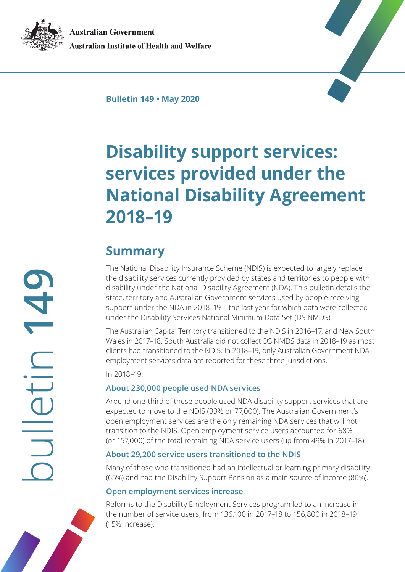**Australian Government** 

<span id="page-0-0"></span>

**Australian Institute of Health and Welfare** 

**Bulletin 149 • May 2020**

# **Disability support services: services provided under the National Disability Agreement 2018–19**

# **Summary**

The National Disability Insurance Scheme (NDIS) is expected to largely replace the disability services currently provided by states and territories to people with disability under the National Disability Agreement (NDA). This bulletin details the state, territory and Australian Government services used by people receiving support under the NDA in 2018–19—the last year for which data were collected under the Disability Services National Minimum Data Set (DS NMDS).

The Australian Capital Territory transitioned to the NDIS in 2016–17, and New South Wales in 2017–18. South Australia did not collect DS NMDS data in 2018–19 as most clients had transitioned to the NDIS. In 2018–19, only Australian Government NDA employment services data are reported for these three jurisdictions.

In 2018–19:

#### **About 230,000 people used NDA services**

Around one-third of these people used NDA disability support services that are expected to move to the NDIS (33% or 77,000). The Australian Government's open employment services are the only remaining NDA services that will not transition to the NDIS. Open employment service users accounted for 68% (or 157,000) of the total remaining NDA service users (up from 49% in 2017–18).

#### **About 29,200 service users transitioned to the NDIS**

Many of those who transitioned had an intellectual or learning primary disability (65%) and had the Disability Support Pension as a main source of income (80%).

#### **Open employment services increase**

Reforms to the Disability Employment Services program led to an increase in the number of service users, from 136,100 in 2017–18 to 156,800 in 2018–19 (15% increase).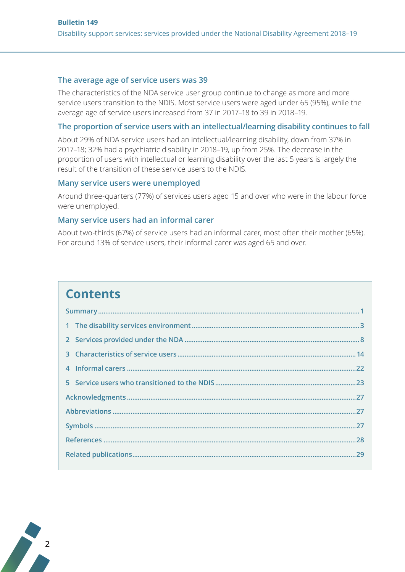#### The average age of service users was 39

The characteristics of the NDA service user group continue to change as more and more service users transition to the NDIS. Most service users were aged under 65 (95%), while the average age of service users increased from 37 in 2017-18 to 39 in 2018-19.

#### The proportion of service users with an intellectual/learning disability continues to fall

About 29% of NDA service users had an intellectual/learning disability, down from 37% in 2017-18; 32% had a psychiatric disability in 2018-19, up from 25%. The decrease in the proportion of users with intellectual or learning disability over the last 5 years is largely the result of the transition of these service users to the NDIS.

#### Many service users were unemployed

Around three-quarters (77%) of services users aged 15 and over who were in the labour force were unemployed.

#### Many service users had an informal carer

About two-thirds (67%) of service users had an informal carer, most often their mother (65%). For around 13% of service users, their informal carer was aged 65 and over.

# **Contents**

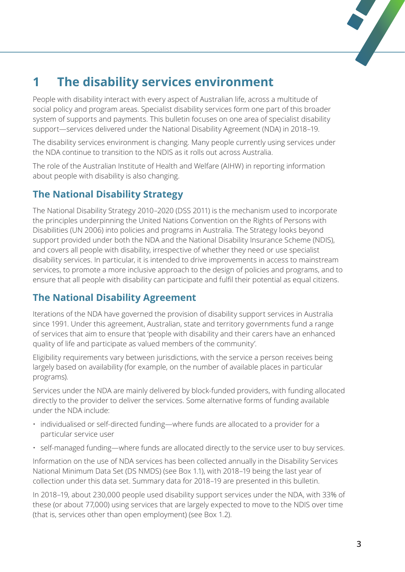

# <span id="page-2-0"></span>**1 The disability services environment**

People with disability interact with every aspect of Australian life, across a multitude of social policy and program areas. Specialist disability services form one part of this broader system of supports and payments. This bulletin focuses on one area of specialist disability support—services delivered under the National Disability Agreement (NDA) in 2018–19.

The disability services environment is changing. Many people currently using services under the NDA continue to transition to the NDIS as it rolls out across Australia.

The role of the Australian Institute of Health and Welfare (AIHW) in reporting information about people with disability is also changing.

# **The National Disability Strategy**

The National Disability Strategy 2010–2020 (DSS 2011) is the mechanism used to incorporate the principles underpinning the United Nations Convention on the Rights of Persons with Disabilities (UN 2006) into policies and programs in Australia. The Strategy looks beyond support provided under both the NDA and the National Disability Insurance Scheme (NDIS), and covers all people with disability, irrespective of whether they need or use specialist disability services. In particular, it is intended to drive improvements in access to mainstream services, to promote a more inclusive approach to the design of policies and programs, and to ensure that all people with disability can participate and fulfil their potential as equal citizens.

### **The National Disability Agreement**

Iterations of the NDA have governed the provision of disability support services in Australia since 1991. Under this agreement, Australian, state and territory governments fund a range of services that aim to ensure that 'people with disability and their carers have an enhanced quality of life and participate as valued members of the community'.

Eligibility requirements vary between jurisdictions, with the service a person receives being largely based on availability (for example, on the number of available places in particular programs).

Services under the NDA are mainly delivered by block-funded providers, with funding allocated directly to the provider to deliver the services. Some alternative forms of funding available under the NDA include:

- individualised or self-directed funding—where funds are allocated to a provider for a particular service user
- self-managed funding—where funds are allocated directly to the service user to buy services.

Information on the use of NDA services has been collected annually in the Disability Services National Minimum Data Set (DS NMDS) (see Box 1.1), with 2018–19 being the last year of collection under this data set. Summary data for 2018–19 are presented in this bulletin.

In 2018–19, about 230,000 people used disability support services under the NDA, with 33% of these (or about 77,000) using services that are largely expected to move to the NDIS over time (that is, services other than open employment) (see Box 1.2).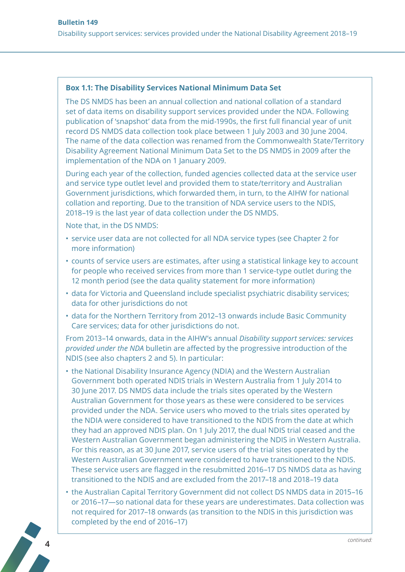#### **Box 1.1: The Disability Services National Minimum Data Set**

The DS NMDS has been an annual collection and national collation of a standard set of data items on disability support services provided under the NDA. Following publication of 'snapshot' data from the mid-1990s, the first full financial year of unit record DS NMDS data collection took place between 1 July 2003 and 30 June 2004. The name of the data collection was renamed from the Commonwealth State/Territory Disability Agreement National Minimum Data Set to the DS NMDS in 2009 after the implementation of the NDA on 1 January 2009.

During each year of the collection, funded agencies collected data at the service user and service type outlet level and provided them to state/territory and Australian Government jurisdictions, which forwarded them, in turn, to the AIHW for national collation and reporting. Due to the transition of NDA service users to the NDIS, 2018–19 is the last year of data collection under the DS NMDS.

Note that, in the DS NMDS:

- service user data are not collected for all NDA service types (see Chapter 2 for more information)
- counts of service users are estimates, after using a statistical linkage key to account for people who received services from more than 1 service-type outlet during the 12 month period (see the data quality statement for more information)
- data for Victoria and Queensland include specialist psychiatric disability services; data for other jurisdictions do not
- data for the Northern Territory from 2012–13 onwards include Basic Community Care services; data for other jurisdictions do not.

From 2013–14 onwards, data in the AIHW's annual *Disability support services: services provided under the NDA* bulletin are affected by the progressive introduction of the NDIS (see also chapters 2 and 5). In particular:

- the National Disability Insurance Agency (NDIA) and the Western Australian Government both operated NDIS trials in Western Australia from 1 July 2014 to 30 June 2017. DS NMDS data include the trials sites operated by the Western Australian Government for those years as these were considered to be services provided under the NDA. Service users who moved to the trials sites operated by the NDIA were considered to have transitioned to the NDIS from the date at which they had an approved NDIS plan. On 1 July 2017, the dual NDIS trial ceased and the Western Australian Government began administering the NDIS in Western Australia. For this reason, as at 30 June 2017, service users of the trial sites operated by the Western Australian Government were considered to have transitioned to the NDIS. These service users are flagged in the resubmitted 2016–17 DS NMDS data as having transitioned to the NDIS and are excluded from the 2017–18 and 2018–19 data
- the Australian Capital Territory Government did not collect DS NMDS data in 2015–16 or 2016–17—so national data for these years are underestimates. Data collection was not required for 2017–18 onwards (as transition to the NDIS in this jurisdiction was completed by the end of 2016–17)



**4**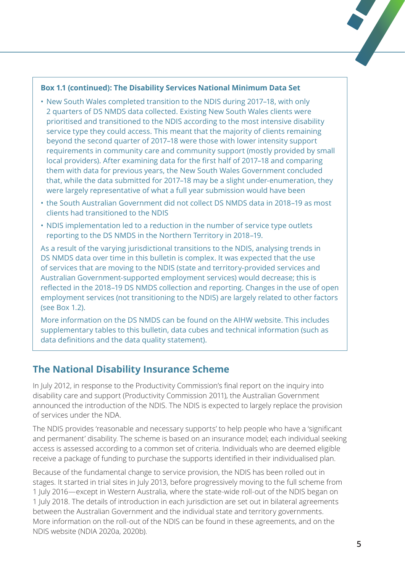#### **Box 1.1 (continued): The Disability Services National Minimum Data Set**

- New South Wales completed transition to the NDIS during 2017–18, with only 2 quarters of DS NMDS data collected. Existing New South Wales clients were prioritised and transitioned to the NDIS according to the most intensive disability service type they could access. This meant that the majority of clients remaining beyond the second quarter of 2017–18 were those with lower intensity support requirements in community care and community support (mostly provided by small local providers). After examining data for the first half of 2017–18 and comparing them with data for previous years, the New South Wales Government concluded that, while the data submitted for 2017–18 may be a slight under-enumeration, they were largely representative of what a full year submission would have been
- the South Australian Government did not collect DS NMDS data in 2018–19 as most clients had transitioned to the NDIS
- NDIS implementation led to a reduction in the number of service type outlets reporting to the DS NMDS in the Northern Territory in 2018–19.

As a result of the varying jurisdictional transitions to the NDIS, analysing trends in DS NMDS data over time in this bulletin is complex. It was expected that the use of services that are moving to the NDIS (state and territory-provided services and Australian Government-supported employment services) would decrease; this is reflected in the 2018–19 DS NMDS collection and reporting. Changes in the use of open employment services (not transitioning to the NDIS) are largely related to other factors (see Box 1.2).

More information on the DS NMDS can be found on the AIHW website. This includes supplementary tables to this bulletin, data cubes and technical information (such as data definitions and the data quality statement).

### **The National Disability Insurance Scheme**

In July 2012, in response to the Productivity Commission's final report on the inquiry into disability care and support (Productivity Commission 2011), the Australian Government announced the introduction of the NDIS. The NDIS is expected to largely replace the provision of services under the NDA.

The NDIS provides 'reasonable and necessary supports' to help people who have a 'significant and permanent' disability. The scheme is based on an insurance model; each individual seeking access is assessed according to a common set of criteria. Individuals who are deemed eligible receive a package of funding to purchase the supports identified in their individualised plan.

Because of the fundamental change to service provision, the NDIS has been rolled out in stages. It started in trial sites in July 2013, before progressively moving to the full scheme from 1 July 2016—except in Western Australia, where the state-wide roll-out of the NDIS began on 1 July 2018. The details of introduction in each jurisdiction are set out in bilateral agreements between the Australian Government and the individual state and territory governments. More information on the roll-out of the NDIS can be found in these agreements, and on the NDIS website (NDIA 2020a, 2020b).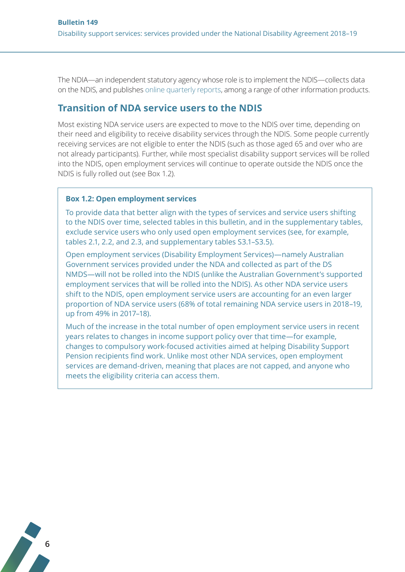The NDIA—an independent statutory agency whose role is to implement the NDIS—collects data on the NDIS, and publishes [online quarterly reports](https://www.ndis.gov.au/about-us/publications/quarterly-reports), among a range of other information products.

#### **Transition of NDA service users to the NDIS**

Most existing NDA service users are expected to move to the NDIS over time, depending on their need and eligibility to receive disability services through the NDIS. Some people currently receiving services are not eligible to enter the NDIS (such as those aged 65 and over who are not already participants). Further, while most specialist disability support services will be rolled into the NDIS, open employment services will continue to operate outside the NDIS once the NDIS is fully rolled out (see Box 1.2).

#### **Box 1.2: Open employment services**

To provide data that better align with the types of services and service users shifting to the NDIS over time, selected tables in this bulletin, and in the supplementary tables, exclude service users who only used open employment services (see, for example, tables 2.1, 2.2, and 2.3, and supplementary tables S3.1–S3.5).

Open employment services (Disability Employment Services)—namely Australian Government services provided under the NDA and collected as part of the DS NMDS—will not be rolled into the NDIS (unlike the Australian Government's supported employment services that will be rolled into the NDIS). As other NDA service users shift to the NDIS, open employment service users are accounting for an even larger proportion of NDA service users (68% of total remaining NDA service users in 2018–19, up from 49% in 2017–18).

Much of the increase in the total number of open employment service users in recent years relates to changes in income support policy over that time—for example, changes to compulsory work-focused activities aimed at helping Disability Support Pension recipients find work. Unlike most other NDA services, open employment services are demand-driven, meaning that places are not capped, and anyone who meets the eligibility criteria can access them.

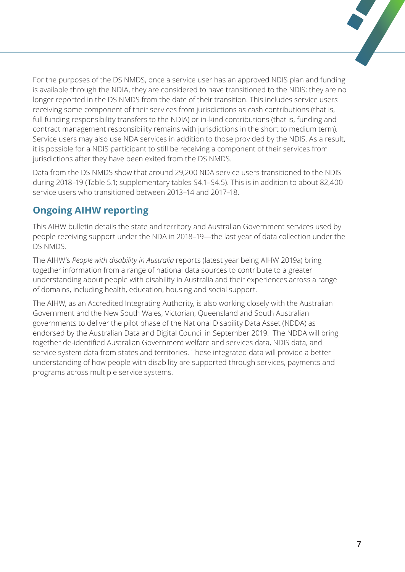For the purposes of the DS NMDS, once a service user has an approved NDIS plan and funding is available through the NDIA, they are considered to have transitioned to the NDIS; they are no longer reported in the DS NMDS from the date of their transition. This includes service users receiving some component of their services from jurisdictions as cash contributions (that is, full funding responsibility transfers to the NDIA) or in-kind contributions (that is, funding and contract management responsibility remains with jurisdictions in the short to medium term). Service users may also use NDA services in addition to those provided by the NDIS. As a result, it is possible for a NDIS participant to still be receiving a component of their services from jurisdictions after they have been exited from the DS NMDS.

Data from the DS NMDS show that around 29,200 NDA service users transitioned to the NDIS during 2018–19 (Table 5.1; supplementary tables S4.1–S4.5). This is in addition to about 82,400 service users who transitioned between 2013–14 and 2017–18.

# **Ongoing AIHW reporting**

This AIHW bulletin details the state and territory and Australian Government services used by people receiving support under the NDA in 2018–19—the last year of data collection under the DS NMDS.

The AIHW's *People with disability in Australia* reports (latest year being AIHW 2019a) bring together information from a range of national data sources to contribute to a greater understanding about people with disability in Australia and their experiences across a range of domains, including health, education, housing and social support.

The AIHW, as an Accredited Integrating Authority, is also working closely with the Australian Government and the New South Wales, Victorian, Queensland and South Australian governments to deliver the pilot phase of the National Disability Data Asset (NDDA) as endorsed by the Australian Data and Digital Council in September 2019. The NDDA will bring together de-identified Australian Government welfare and services data, NDIS data, and service system data from states and territories. These integrated data will provide a better understanding of how people with disability are supported through services, payments and programs across multiple service systems.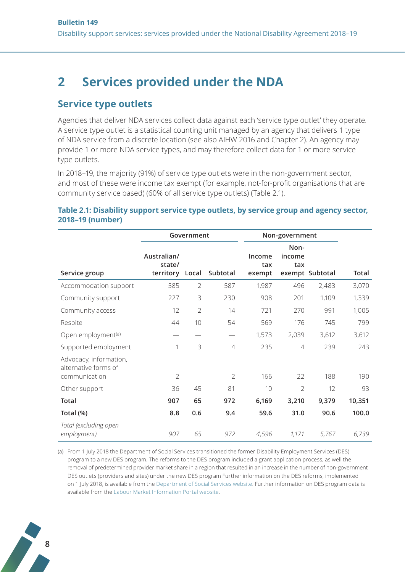# <span id="page-7-0"></span>**2 Services provided under the NDA**

#### **Service type outlets**

Agencies that deliver NDA services collect data against each 'service type outlet' they operate. A service type outlet is a statistical counting unit managed by an agency that delivers 1 type of NDA service from a discrete location (see also AIHW 2016 and Chapter 2). An agency may provide 1 or more NDA service types, and may therefore collect data for 1 or more service type outlets.

In 2018–19, the majority (91%) of service type outlets were in the non-government sector, and most of these were income tax exempt (for example, not-for-profit organisations that are community service based) (60% of all service type outlets) (Table 2.1).

#### **Table 2.1: Disability support service type outlets, by service group and agency sector, 2018–19 (number)**

|                                                                 |                                    | Government     |                | Non-government          |                       |                 |        |
|-----------------------------------------------------------------|------------------------------------|----------------|----------------|-------------------------|-----------------------|-----------------|--------|
| Service group                                                   | Australian/<br>state/<br>territory | Local          | Subtotal       | Income<br>tax<br>exempt | Non-<br>income<br>tax | exempt Subtotal | Total  |
| Accommodation support                                           | 585                                | $\overline{2}$ | 587            | 1,987                   | 496                   | 2,483           | 3,070  |
| Community support                                               | 227                                | 3              | 230            | 908                     | 201                   | 1,109           | 1,339  |
| Community access                                                | 12                                 | $\overline{2}$ | 14             | 721                     | 270                   | 991             | 1,005  |
| Respite                                                         | 44                                 | 10             | 54             | 569                     | 176                   | 745             | 799    |
| Open employment <sup>(a)</sup>                                  |                                    |                |                | 1,573                   | 2,039                 | 3,612           | 3,612  |
| Supported employment                                            | 1                                  | 3              | $\overline{4}$ | 235                     | $\overline{4}$        | 239             | 243    |
| Advocacy, information,<br>alternative forms of<br>communication | $\overline{2}$                     |                | $\overline{2}$ | 166                     | 22                    | 188             | 190    |
| Other support                                                   | 36                                 | 45             | 81             | 10                      | $\overline{2}$        | 12              | 93     |
| Total                                                           | 907                                | 65             | 972            | 6,169                   | 3,210                 | 9,379           | 10,351 |
| Total (%)                                                       | 8.8                                | 0.6            | 9.4            | 59.6                    | 31.0                  | 90.6            | 100.0  |
| Total (excluding open<br>employment)                            | 907                                | 65             | 972            | 4,596                   | 1,171                 | 5,767           | 6,739  |

(a) From 1 July 2018 the Department of Social Services transitioned the former Disability Employment Services (DES) program to a new DES program. The reforms to the DES program included a grant application process, as well the removal of predetermined provider market share in a region that resulted in an increase in the number of non-government DES outlets (providers and sites) under the new DES program Further information on the DES reforms, implemented on 1 July 2018, is available from the [Department of Social Services website.](https://www.dss.gov.au/our-responsibilities/disability-and-carers/programmes-services/disability-employment-services) Further information on DES program data is available from the [Labour Market Information Portal website](http://lmip.gov.au/default.aspx?LMIP/Downloads/DisabilityEmploymentServicesData/MonthlyData).

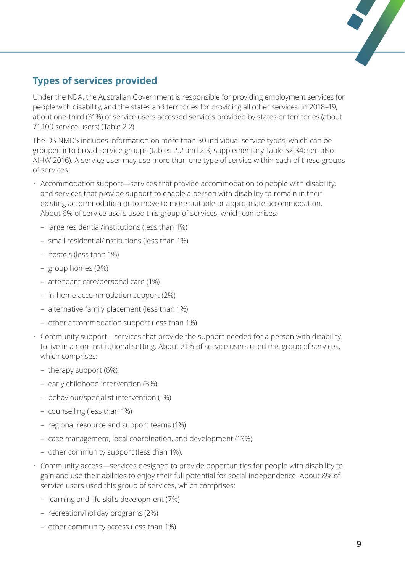# **Types of services provided**

Under the NDA, the Australian Government is responsible for providing employment services for people with disability, and the states and territories for providing all other services. In 2018–19, about one-third (31%) of service users accessed services provided by states or territories (about 71,100 service users) (Table 2.2).

The DS NMDS includes information on more than 30 individual service types, which can be grouped into broad service groups (tables 2.2 and 2.3; supplementary Table S2.34; see also AIHW 2016). A service user may use more than one type of service within each of these groups of services:

- Accommodation support—services that provide accommodation to people with disability, and services that provide support to enable a person with disability to remain in their existing accommodation or to move to more suitable or appropriate accommodation. About 6% of service users used this group of services, which comprises:
	- large residential/institutions (less than 1%)
	- small residential/institutions (less than 1%)
	- hostels (less than 1%)
	- group homes (3%)
	- attendant care/personal care (1%)
	- in-home accommodation support (2%)
	- alternative family placement (less than 1%)
	- other accommodation support (less than 1%).
- Community support—services that provide the support needed for a person with disability to live in a non-institutional setting. About 21% of service users used this group of services, which comprises:
	- therapy support (6%)
	- early childhood intervention (3%)
	- behaviour/specialist intervention (1%)
	- counselling (less than 1%)
	- regional resource and support teams (1%)
	- case management, local coordination, and development (13%)
	- other community support (less than 1%).
- Community access—services designed to provide opportunities for people with disability to gain and use their abilities to enjoy their full potential for social independence. About 8% of service users used this group of services, which comprises:
	- learning and life skills development (7%)
	- recreation/holiday programs (2%)
	- other community access (less than 1%).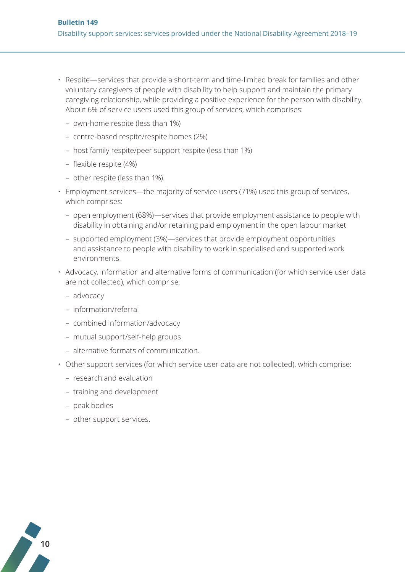- Respite—services that provide a short-term and time-limited break for families and other voluntary caregivers of people with disability to help support and maintain the primary caregiving relationship, while providing a positive experience for the person with disability. About 6% of service users used this group of services, which comprises:
	- own-home respite (less than 1%)
	- centre-based respite/respite homes (2%)
	- host family respite/peer support respite (less than 1%)
	- flexible respite (4%)
	- other respite (less than 1%).
- Employment services—the majority of service users (71%) used this group of services, which comprises:
	- open employment (68%)—services that provide employment assistance to people with disability in obtaining and/or retaining paid employment in the open labour market
	- supported employment (3%)—services that provide employment opportunities and assistance to people with disability to work in specialised and supported work environments.
- Advocacy, information and alternative forms of communication (for which service user data are not collected), which comprise:
	- advocacy
	- information/referral
	- combined information/advocacy
	- mutual support/self-help groups
	- alternative formats of communication.
- Other support services (for which service user data are not collected), which comprise:
	- research and evaluation
	- training and development
	- peak bodies
	- other support services.

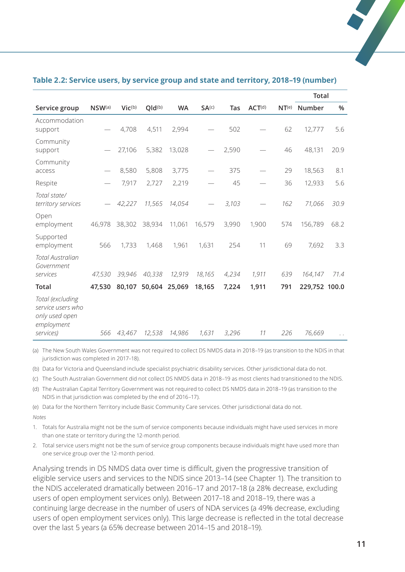|                                                                       |        |             |        |           |                   |       |        |                   | Total         |      |
|-----------------------------------------------------------------------|--------|-------------|--------|-----------|-------------------|-------|--------|-------------------|---------------|------|
| Service group                                                         | NSW(a) | $Vic^{(b)}$ | Qld(b) | <b>WA</b> | SA <sup>(c)</sup> | Tas   | ACT(d) | NT <sup>(e)</sup> | Number        | $\%$ |
| Accommodation<br>support                                              |        | 4,708       | 4,511  | 2,994     |                   | 502   |        | 62                | 12,777        | 5.6  |
| Community<br>support                                                  |        | 27,106      | 5,382  | 13,028    |                   | 2,590 |        | 46                | 48,131        | 20.9 |
| Community<br>access                                                   |        | 8,580       | 5,808  | 3,775     |                   | 375   |        | 29                | 18,563        | 8.1  |
| Respite                                                               |        | 7,917       | 2,727  | 2,219     |                   | 45    |        | 36                | 12,933        | 5.6  |
| Total state/<br>territory services                                    |        | 42,227      | 11,565 | 14,054    |                   | 3,103 |        | 162               | 71,066        | 30.9 |
| Open<br>employment                                                    | 46,978 | 38,302      | 38,934 | 11,061    | 16,579            | 3,990 | 1,900  | 574               | 156,789       | 68.2 |
| Supported<br>employment                                               | 566    | 1,733       | 1,468  | 1,961     | 1,631             | 254   | 11     | 69                | 7,692         | 3.3  |
| Total Australian<br>Government                                        |        |             |        |           |                   |       |        |                   |               |      |
| services                                                              | 47,530 | 39,946      | 40,338 | 12,919    | 18,165            | 4,234 | 1,911  | 639               | 164,147       | 71.4 |
| <b>Total</b>                                                          | 47.530 | 80,107      | 50,604 | 25,069    | 18,165            | 7,224 | 1,911  | 791               | 229,752 100.0 |      |
| Total (excluding<br>service users who<br>only used open<br>employment |        |             |        |           |                   |       |        |                   |               |      |
| services)                                                             | 566    | 43,467      | 12,538 | 14,986    | 1,631             | 3,296 | 11     | 226               | 76,669        |      |

#### **Table 2.2: Service users, by service group and state and territory, 2018–19 (number)**

(a) The New South Wales Government was not required to collect DS NMDS data in 2018–19 (as transition to the NDIS in that jurisdiction was completed in 2017–18).

(b) Data for Victoria and Queensland include specialist psychiatric disability services. Other jurisdictional data do not.

(c) The South Australian Government did not collect DS NMDS data in 2018–19 as most clients had transitioned to the NDIS.

(d) The Australian Capital Territory Government was not required to collect DS NMDS data in 2018–19 (as transition to the NDIS in that jurisdiction was completed by the end of 2016–17).

(e) Data for the Northern Territory include Basic Community Care services. Other jurisdictional data do not. *Notes*

1. Totals for Australia might not be the sum of service components because individuals might have used services in more than one state or territory during the 12-month period.

2. Total service users might not be the sum of service group components because individuals might have used more than one service group over the 12-month period.

Analysing trends in DS NMDS data over time is difficult, given the progressive transition of eligible service users and services to the NDIS since 2013–14 (see Chapter 1). The transition to the NDIS accelerated dramatically between 2016–17 and 2017–18 (a 28% decrease, excluding users of open employment services only). Between 2017–18 and 2018–19, there was a continuing large decrease in the number of users of NDA services (a 49% decrease, excluding users of open employment services only). This large decrease is reflected in the total decrease over the last 5 years (a 65% decrease between 2014–15 and 2018–19).

 $\overline{\phantom{a}}$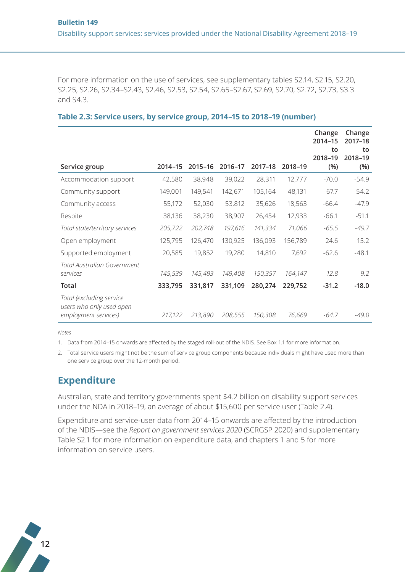For more information on the use of services, see supplementary tables S2.14, S2.15, S2.20, S2.25, S2.26, S2.34–S2.43, S2.46, S2.53, S2.54, S2.65–S2.67, S2.69, S2.70, S2.72, S2.73, S3.3 and S4.3.

|                                                                              |         |         |         |         |         | Change<br>2014-15<br>to<br>2018-19 | Change<br>2017-18<br>to<br>2018-19 |
|------------------------------------------------------------------------------|---------|---------|---------|---------|---------|------------------------------------|------------------------------------|
| Service group                                                                | 2014-15 | 2015-16 | 2016-17 | 2017-18 | 2018-19 | (%)                                | (% )                               |
| Accommodation support                                                        | 42,580  | 38,948  | 39,022  | 28,311  | 12,777  | $-70.0$                            | $-54.9$                            |
| Community support                                                            | 149,001 | 149,541 | 142,671 | 105,164 | 48,131  | $-67.7$                            | $-54.2$                            |
| Community access                                                             | 55,172  | 52,030  | 53,812  | 35,626  | 18,563  | $-66.4$                            | $-47.9$                            |
| Respite                                                                      | 38,136  | 38,230  | 38,907  | 26,454  | 12,933  | $-66.1$                            | $-51.1$                            |
| Total state/territory services                                               | 205,722 | 202,748 | 197,616 | 141,334 | 71,066  | $-65.5$                            | $-49.7$                            |
| Open employment                                                              | 125,795 | 126,470 | 130,925 | 136,093 | 156,789 | 24.6                               | 15.2                               |
| Supported employment                                                         | 20,585  | 19,852  | 19,280  | 14,810  | 7,692   | $-62.6$                            | $-48.1$                            |
| Total Australian Government<br>services                                      | 145,539 | 145,493 | 149,408 | 150,357 | 164,147 | 12.8                               | 9.2                                |
| Total                                                                        | 333,795 | 331,817 | 331,109 | 280,274 | 229,752 | $-31.2$                            | $-18.0$                            |
| Total (excluding service<br>users who only used open<br>employment services) | 217,122 | 213,890 | 208,555 | 150,308 | 76,669  | $-64.7$                            | $-49.0$                            |

#### **Table 2.3: Service users, by service group, 2014–15 to 2018–19 (number)**

*Notes*

1. Data from 2014–15 onwards are affected by the staged roll-out of the NDIS. See Box 1.1 for more information.

2. Total service users might not be the sum of service group components because individuals might have used more than one service group over the 12-month period.

#### **Expenditure**

Australian, state and territory governments spent \$4.2 billion on disability support services under the NDA in 2018–19, an average of about \$15,600 per service user (Table 2.4).

Expenditure and service-user data from 2014–15 onwards are affected by the introduction of the NDIS—see the *Report on government services 2020* (SCRGSP 2020) and supplementary Table S2.1 for more information on expenditure data, and chapters 1 and 5 for more information on service users.

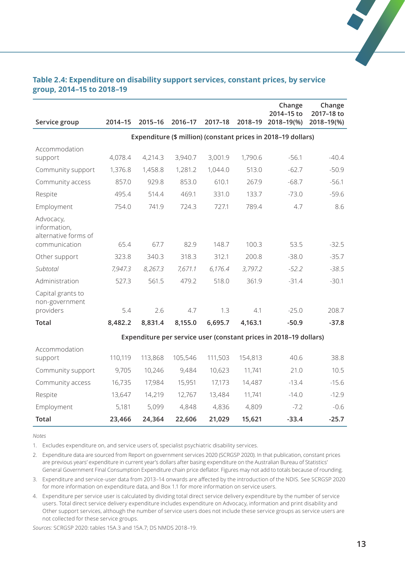| Service group                                     | 2014-15 | 2015-16 | 2016-17 | 2017-18 | 2018-19 | Change<br>2014-15 to<br>2018-19(%)                                | Change<br>2017-18 to<br>2018-19(%) |
|---------------------------------------------------|---------|---------|---------|---------|---------|-------------------------------------------------------------------|------------------------------------|
|                                                   |         |         |         |         |         | Expenditure (\$ million) (constant prices in 2018-19 dollars)     |                                    |
|                                                   |         |         |         |         |         |                                                                   |                                    |
| Accommodation<br>support                          | 4,078.4 | 4,214.3 | 3,940.7 | 3,001.9 | 1,790.6 | $-56.1$                                                           | $-40.4$                            |
| Community support                                 | 1,376.8 | 1,458.8 | 1,281.2 | 1,044.0 | 513.0   | $-62.7$                                                           | $-50.9$                            |
| Community access                                  | 857.0   | 929.8   | 853.0   | 610.1   | 267.9   | $-68.7$                                                           | $-56.1$                            |
| Respite                                           | 495.4   | 514.4   | 469.1   | 331.0   | 133.7   | $-73.0$                                                           | $-59.6$                            |
| Employment                                        | 754.0   | 741.9   | 724.3   | 727.1   | 789.4   | 4.7                                                               | 8.6                                |
| Advocacy,<br>information,<br>alternative forms of |         |         |         |         |         |                                                                   |                                    |
| communication                                     | 65.4    | 67.7    | 82.9    | 148.7   | 100.3   | 53.5                                                              | $-32.5$                            |
| Other support                                     | 323.8   | 340.3   | 318.3   | 312.1   | 200.8   | $-38.0$                                                           | $-35.7$                            |
| Subtotal                                          | 7,947.3 | 8,267.3 | 7,671.1 | 6,176.4 | 3,797.2 | $-52.2$                                                           | $-38.5$                            |
| Administration                                    | 527.3   | 561.5   | 479.2   | 518.0   | 361.9   | $-31.4$                                                           | $-30.1$                            |
| Capital grants to<br>non-government<br>providers  | 5.4     | 2.6     | 4.7     | 1.3     | 4.1     | $-25.0$                                                           | 208.7                              |
|                                                   |         |         |         |         |         |                                                                   |                                    |
| <b>Total</b>                                      | 8,482.2 | 8,831.4 | 8,155.0 | 6,695.7 | 4,163.1 | $-50.9$                                                           | $-37.8$                            |
|                                                   |         |         |         |         |         | Expenditure per service user (constant prices in 2018-19 dollars) |                                    |
| Accommodation<br>support                          | 110,119 | 113,868 | 105,546 | 111,503 | 154,813 | 40.6                                                              | 38.8                               |
| Community support                                 | 9,705   | 10,246  | 9,484   | 10,623  | 11,741  | 21.0                                                              | 10.5                               |
| Community access                                  | 16,735  | 17,984  | 15,951  | 17,173  | 14,487  | $-13.4$                                                           | $-15.6$                            |
| Respite                                           | 13,647  | 14,219  | 12,767  | 13,484  | 11,741  | $-14.0$                                                           | $-12.9$                            |
| Employment                                        | 5,181   | 5,099   | 4,848   | 4,836   | 4,809   | $-7.2$                                                            | $-0.6$                             |
| <b>Total</b>                                      | 23,466  | 24,364  | 22,606  | 21,029  | 15,621  | $-33.4$                                                           | $-25.7$                            |

#### **Table 2.4: Expenditure on disability support services, constant prices, by service group, 2014–15 to 2018–19**

*Notes*

1. Excludes expenditure on, and service users of, specialist psychiatric disability services.

2. Expenditure data are sourced from Report on government services 2020 (SCRGSP 2020). In that publication, constant prices are previous years' expenditure in current year's dollars after basing expenditure on the Australian Bureau of Statistics' General Government Final Consumption Expenditure chain price deflator. Figures may not add to totals because of rounding.

3. Expenditure and service-user data from 2013–14 onwards are affected by the introduction of the NDIS. See SCRGSP 2020 for more information on expenditure data, and Box 1.1 for more information on service users.

4. Expenditure per service user is calculated by dividing total direct service delivery expenditure by the number of service users. Total direct service delivery expenditure includes expenditure on Advocacy, information and print disability and Other support services, although the number of service users does not include these service groups as service users are not collected for these service groups.

*Sources:* SCRGSP 2020: tables 15A.3 and 15A.7; DS NMDS 2018–19.

 $\frac{1}{\sqrt{2}}$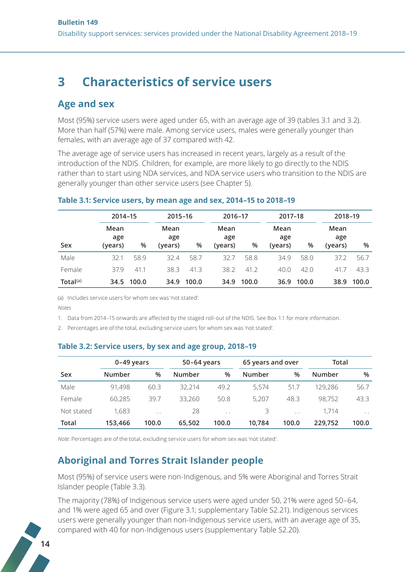# <span id="page-13-0"></span>**3 Characteristics of service users**

#### **Age and sex**

Most (95%) service users were aged under 65, with an average age of 39 (tables 3.1 and 3.2). More than half (57%) were male. Among service users, males were generally younger than females, with an average age of 37 compared with 42.

The average age of service users has increased in recent years, largely as a result of the introduction of the NDIS. Children, for example, are more likely to go directly to the NDIS rather than to start using NDA services, and NDA service users who transition to the NDIS are generally younger than other service users (see Chapter 5).

|             | 2014-15                |       | 2015-16                |       | 2016-17                |       | 2017-18                |       | 2018-19                |       |
|-------------|------------------------|-------|------------------------|-------|------------------------|-------|------------------------|-------|------------------------|-------|
| Sex         | Mean<br>age<br>(years) | %     | Mean<br>age<br>(years) | %     | Mean<br>age<br>(years) | %     | Mean<br>age<br>(years) | %     | Mean<br>age<br>(years) | %     |
| Male        | 32.1                   | 58.9  | 32.4                   | 58.7  | 32.7                   | 58.8  | 34.9                   | 58.0  | 37.2                   | 56.7  |
| Female      | 37.9                   | 41.1  | 38.3                   | 41.3  | 38.2                   | 41.2  | 40.0                   | 42.0  | 41.7                   | 43.3  |
| Total $(a)$ | 34.5                   | 100.0 | 34.9                   | 100.0 | 34.9                   | 100.0 | 36.9                   | 100.0 | 38.9                   | 100.0 |

#### **Table 3.1: Service users, by mean age and sex, 2014–15 to 2018–19**

(a) Includes service users for whom sex was 'not stated'.

*Notes*

1. Data from 2014–15 onwards are affected by the staged roll-out of the NDIS. See Box 1.1 for more information.

2. Percentages are of the total, excluding service users for whom sex was 'not stated'.

#### **Table 3.2: Service users, by sex and age group, 2018–19**

|            | $0-49$ years |        | 50-64 years   |        | 65 years and over |        | Total   |                 |
|------------|--------------|--------|---------------|--------|-------------------|--------|---------|-----------------|
| Sex        | Number       | %      | <b>Number</b> | %      | Number            | %      | Number  | %               |
| Male       | 91,498       | 60.3   | 32,214        | 49.2   | 5.574             | 51.7   | 129,286 | 56.7            |
| Female     | 60,285       | 39.7   | 33.260        | 50.8   | 5,207             | 48.3   | 98,752  | 43.3            |
| Not stated | 1,683        | $\sim$ | 28            | $\sim$ | 3                 | $\sim$ | 1.714   | $\cdot$ $\cdot$ |
| Total      | 153,466      | 100.0  | 65.502        | 100.0  | 10.784            | 100.0  | 229.752 | 100.0           |

*Note:* Percentages are of the total, excluding service users for whom sex was 'not stated'.

# **Aboriginal and Torres Strait Islander people**

Most (95%) of service users were non-Indigenous, and 5% were Aboriginal and Torres Strait Islander people (Table 3.3).

The majority (78%) of Indigenous service users were aged under 50, 21% were aged 50–64, and 1% were aged 65 and over (Figure 3.1; supplementary Table S2.21). Indigenous services users were generally younger than non-Indigenous service users, with an average age of 35, compared with 40 for non-Indigenous users (supplementary Table S2.20).

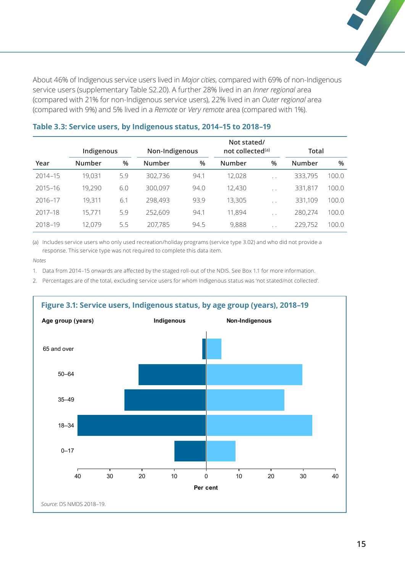About 46% of Indigenous service users lived in *Major cities*, compared with 69% of non-Indigenous service users (supplementary Table S2.20). A further 28% lived in an *Inner regional* area (compared with 21% for non-Indigenous service users), 22% lived in an *Outer regional* area (compared with 9%) and 5% lived in a *Remote* or *Very remote* area (compared with 1%).

|             |        | Indigenous |               | Non-Indigenous | Not stated/<br>not collected <sup>(a)</sup> |                      | Total   |       |
|-------------|--------|------------|---------------|----------------|---------------------------------------------|----------------------|---------|-------|
| Year        | Number | %          | <b>Number</b> | $\%$           | Number                                      | $\%$                 | Number  | %     |
| $2014 - 15$ | 19,031 | 5.9        | 302,736       | 94.1           | 12,028                                      | $\cdot$ $\cdot$      | 333,795 | 100.0 |
| $2015 - 16$ | 19,290 | 6.0        | 300,097       | 94.0           | 12,430                                      | $\cdot$ $\cdot$      | 331,817 | 100.0 |
| 2016-17     | 19,311 | 6.1        | 298,493       | 93.9           | 13,305                                      | $\cdot$ $\cdot$      | 331,109 | 100.0 |
| $2017 - 18$ | 15,771 | 5.9        | 252,609       | 94.1           | 11,894                                      | $\ddot{\phantom{0}}$ | 280,274 | 100.0 |
| 2018-19     | 12,079 | 5.5        | 207,785       | 94.5           | 9,888                                       | $\cdot$ .            | 229,752 | 100.0 |

#### **Table 3.3: Service users, by Indigenous status, 2014–15 to 2018–19**

(a) Includes service users who only used recreation/holiday programs (service type 3.02) and who did not provide a response. This service type was not required to complete this data item.

*Notes*

1. Data from 2014–15 onwards are affected by the staged roll-out of the NDIS. See Box 1.1 for more information.

2. Percentages are of the total, excluding service users for whom Indigenous status was 'not stated/not collected'.

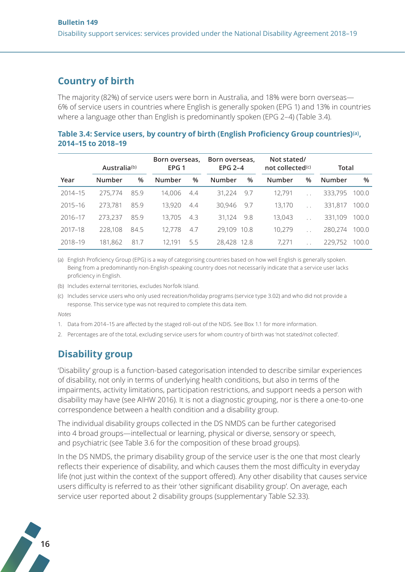## **Country of birth**

The majority (82%) of service users were born in Australia, and 18% were born overseas— 6% of service users in countries where English is generally spoken (EPG 1) and 13% in countries where a language other than English is predominantly spoken (EPG 2–4) (Table 3.4).

| Table 3.4: Service users, by country of birth (English Proficiency Group countries)(a), |  |  |
|-----------------------------------------------------------------------------------------|--|--|
| 2014-15 to 2018-19                                                                      |  |  |

|             | Australia(b) |      | Born overseas,<br>Born overseas,<br>EPG $2-4$<br>EPG <sub>1</sub> |     |             | Not stated/<br>not collected $(c)$ |        | Total        |               |       |
|-------------|--------------|------|-------------------------------------------------------------------|-----|-------------|------------------------------------|--------|--------------|---------------|-------|
| Year        | Number       | $\%$ | Number                                                            | %   | Number      | $\%$                               | Number | %            | <b>Number</b> | %     |
| $2014 - 15$ | 275,774      | 85.9 | 14,006                                                            | 4.4 | 31,224      | 9.7                                | 12.791 | $\mathbf{r}$ | 333,795       | 100.0 |
| $2015 - 16$ | 273,781      | 85.9 | 13,920                                                            | 4.4 | 30,946      | 9.7                                | 13,170 | $\mathbf{r}$ | 331,817       | 100.0 |
| 2016-17     | 273.237      | 85.9 | 13,705                                                            | 4.3 | 31.124      | 9.8                                | 13,043 |              | 331,109       | 100.0 |
| 2017-18     | 228,108      | 84.5 | 12.778                                                            | 4.7 | 29,109      | 10.8                               | 10,279 | $\sim$       | 280,274       | 100.0 |
| 2018-19     | 181,862      | 81.7 | 12.191                                                            | 5.5 | 28,428 12.8 |                                    | 7.271  |              | 229,752       | 100.0 |

(a) English Proficiency Group (EPG) is a way of categorising countries based on how well English is generally spoken. Being from a predominantly non-English-speaking country does not necessarily indicate that a service user lacks proficiency in English.

- (b) Includes external territories, excludes Norfolk Island.
- (c) Includes service users who only used recreation/holiday programs (service type 3.02) and who did not provide a response. This service type was not required to complete this data item.

*Notes*

- 1. Data from 2014–15 are affected by the staged roll-out of the NDIS. See Box 1.1 for more information.
- 2. Percentages are of the total, excluding service users for whom country of birth was 'not stated/not collected'.

# **Disability group**

'Disability' group is a function-based categorisation intended to describe similar experiences of disability, not only in terms of underlying health conditions, but also in terms of the impairments, activity limitations, participation restrictions, and support needs a person with disability may have (see AIHW 2016). It is not a diagnostic grouping, nor is there a one-to-one correspondence between a health condition and a disability group.

The individual disability groups collected in the DS NMDS can be further categorised into 4 broad groups—intellectual or learning, physical or diverse, sensory or speech, and psychiatric (see Table 3.6 for the composition of these broad groups).

In the DS NMDS, the primary disability group of the service user is the one that most clearly reflects their experience of disability, and which causes them the most difficulty in everyday life (not just within the context of the support offered). Any other disability that causes service users difficulty is referred to as their 'other significant disability group'. On average, each service user reported about 2 disability groups (supplementary Table S2.33).

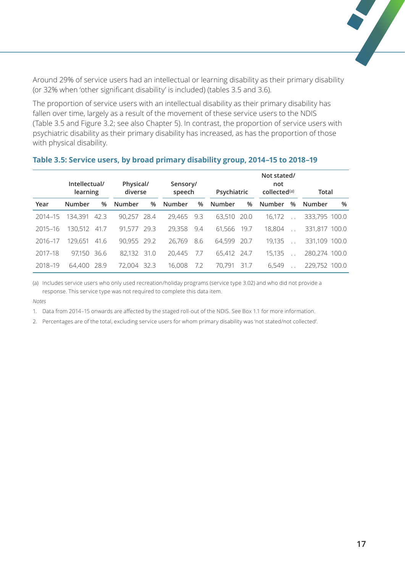Around 29% of service users had an intellectual or learning disability as their primary disability (or 32% when 'other significant disability' is included) (tables 3.5 and 3.6).

The proportion of service users with an intellectual disability as their primary disability has fallen over time, largely as a result of the movement of these service users to the NDIS (Table 3.5 and Figure 3.2; see also Chapter 5). In contrast, the proportion of service users with psychiatric disability as their primary disability has increased, as has the proportion of those with physical disability.

|             | Intellectual/<br>learning |      | Physical/<br>diverse |      | Sensory/<br>speech |     | Psychiatric |      | Not stated/<br>not<br>collected <sup>(a)</sup> |      | Total         |   |
|-------------|---------------------------|------|----------------------|------|--------------------|-----|-------------|------|------------------------------------------------|------|---------------|---|
| Year        | Number                    | $\%$ | Number               | %    | Number             | %   | Number      | $\%$ | Number                                         | $\%$ | Number        | % |
| $2014 - 15$ | 134.391                   | 42.3 | 90,257               | 28.4 | 29,465             | 9.3 | 63,510      | 20.0 | 16.172                                         |      | 333,795 100.0 |   |
| $2015 - 16$ | 130,512                   | 41.7 | 91.577               | 29.3 | 29,358             | 9.4 | 61,566      | 19.7 | 18,804                                         |      | 331,817 100.0 |   |
| 2016-17     | 129.651                   | 41.6 | 90,955               | 29.2 | 26,769             | 8.6 | 64,599      | 20.7 | 19,135                                         |      | 331,109 100.0 |   |
| 2017-18     | 97,150 36.6               |      | 82,132               | 31.0 | 20,445             | 7.7 | 65,412      | 24.7 | 15,135                                         |      | 280,274 100.0 |   |
| 2018-19     | 64.400                    | 28.9 | 72,004               | 32.3 | 16,008             | 7.2 | 70.791      | 317  | 6.549                                          |      | 229,752 100.0 |   |

#### **Table 3.5: Service users, by broad primary disability group, 2014–15 to 2018–19**

(a) Includes service users who only used recreation/holiday programs (service type 3.02) and who did not provide a response. This service type was not required to complete this data item.

*Notes*

1. Data from 2014–15 onwards are affected by the staged roll-out of the NDIS. See Box 1.1 for more information.

2. Percentages are of the total, excluding service users for whom primary disability was 'not stated/not collected'.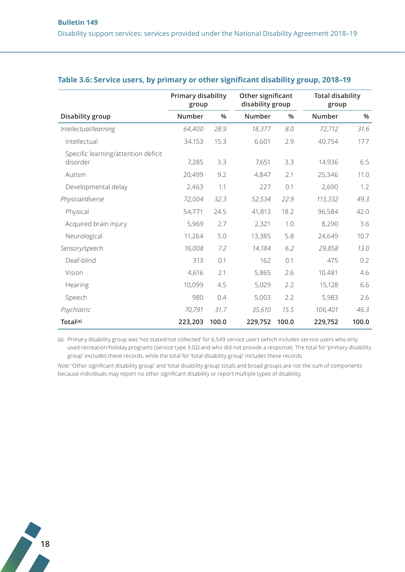|                                                 | Primary disability<br>group |       | Other significant<br>disability group |       | <b>Total disability</b><br>group |       |
|-------------------------------------------------|-----------------------------|-------|---------------------------------------|-------|----------------------------------|-------|
| Disability group                                | Number                      | %     | Number                                | %     | Number                           | %     |
| Intellectual/learning                           | 64,400                      | 28.9  | 18,377                                | 8.0   | 72,712                           | 31.6  |
| Intellectual                                    | 34,153                      | 15.3  | 6,601                                 | 2.9   | 40,754                           | 17.7  |
| Specific learning/attention deficit<br>disorder | 7,285                       | 3.3   | 7,651                                 | 3.3   | 14,936                           | 6.5   |
| Autism                                          | 20,499                      | 9.2   | 4,847                                 | 2.1   | 25,346                           | 11.0  |
| Developmental delay                             | 2,463                       | 1.1   | 227                                   | 0.1   | 2,690                            | 1.2   |
| Physical/diverse                                | 72,004                      | 32.3  | 52,534                                | 22.9  | 113,332                          | 49.3  |
| Physical                                        | 54,771                      | 24.5  | 41,813                                | 18.2  | 96,584                           | 42.0  |
| Acquired brain injury                           | 5,969                       | 2.7   | 2,321                                 | 1.0   | 8,290                            | 3.6   |
| Neurological                                    | 11,264                      | 5.0   | 13,385                                | 5.8   | 24,649                           | 10.7  |
| Sensory/speech                                  | 16,008                      | 7.2   | 14,184                                | 6.2   | 29,858                           | 13.0  |
| Deaf-blind                                      | 313                         | 0.1   | 162                                   | 0.1   | 475                              | 0.2   |
| Vision                                          | 4,616                       | 2.1   | 5,865                                 | 2.6   | 10,481                           | 4.6   |
| Hearing                                         | 10,099                      | 4.5   | 5,029                                 | 2.2   | 15,128                           | 6.6   |
| Speech                                          | 980                         | 0.4   | 5,003                                 | 2.2   | 5,983                            | 2.6   |
| Psychiatric                                     | 70,791                      | 31.7  | 35,610                                | 15.5  | 106,401                          | 46.3  |
| Total(a)                                        | 223,203                     | 100.0 | 229,752                               | 100.0 | 229,752                          | 100.0 |

#### **Table 3.6: Service users, by primary or other significant disability group, 2018–19**

(a) Primary disability group was 'not stated/not collected' for 6,549 service users (which includes service users who only used recreation/holiday programs (service type 3.02) and who did not provide a response). The total for 'primary disability group' excludes these records, while the total for 'total disability group' includes these records.

*Note:* 'Other significant disability group' and 'total disability group' totals and broad groups are not the sum of components because individuals may report no other significant disability or report multiple types of disability.

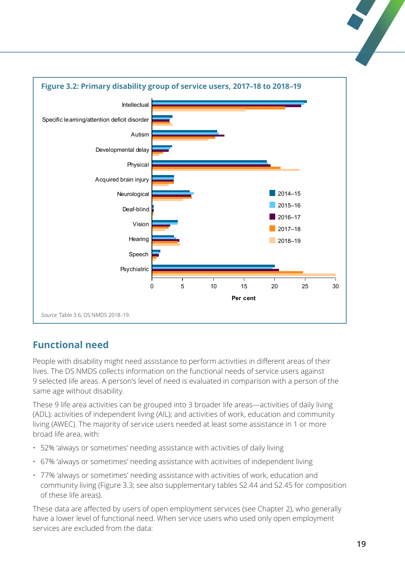

# **Functional need**

People with disability might need assistance to perform activities in different areas of their lives. The DS NMDS collects information on the functional needs of service users against 9 selected life areas. A person's level of need is evaluated in comparison with a person of the same age without disability.

These 9 life area activities can be grouped into 3 broader life areas—activities of daily living (ADL); activities of independent living (AIL); and activities of work, education and community living (AWEC). The majority of service users needed at least some assistance in 1 or more broad life area, with:

- 52% 'always or sometimes' needing assistance with activities of daily living
- 67% 'always or sometimes' needing assistance with acitivities of independent living
- 77% 'always or sometimes' needing assistance with activities of work, education and community living (Figure 3.3; see also supplementary tables S2.44 and S2.45 for composition of these life areas).

These data are affected by users of open employment services (see Chapter 2), who generally have a lower level of functional need. When service users who used only open employment services are excluded from the data: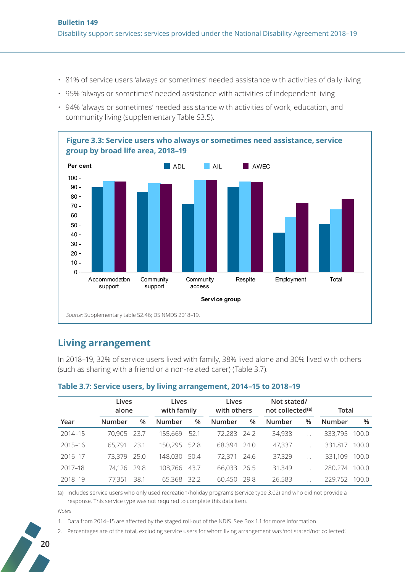- 81% of service users 'always or sometimes' needed assistance with activities of daily living
- 95% 'always or sometimes' needed assistance with activities of independent living
- 94% 'always or sometimes' needed assistance with activities of work, education, and community living (supplementary Table S3.5).



#### **Living arrangement**

In 2018–19, 32% of service users lived with family, 38% lived alone and 30% lived with others (such as sharing with a friend or a non-related carer) (Table 3.7).

|             | Lives<br>alone |      |               | Lives<br>Lives<br>with family<br>with others |        |      | Not stated/<br>not collected <sup>(a)</sup> |                      | Total   |       |
|-------------|----------------|------|---------------|----------------------------------------------|--------|------|---------------------------------------------|----------------------|---------|-------|
| Year        | <b>Number</b>  | %    | <b>Number</b> | %                                            | Number | %    | Number                                      | $\%$                 | Number  | $\%$  |
| $2014 - 15$ | 70,905 23.7    |      | 155,669       | 52.1                                         | 72,283 | 24.2 | 34,938                                      | $\mathbf{r}$         | 333,795 | 100.0 |
| $2015 - 16$ | 65,791         | 23.1 | 150,295       | 52.8                                         | 68,394 | 24.0 | 47,337                                      | $\ddot{\phantom{0}}$ | 331,817 | 100.0 |
| 2016-17     | 73,379         | 25.0 | 148,030       | 50.4                                         | 72.371 | 24.6 | 37,329                                      | $\ddot{\phantom{a}}$ | 331,109 | 100.0 |
| 2017-18     | 74,126         | 29.8 | 108,766       | 43.7                                         | 66,033 | 26.5 | 31,349                                      | $\mathbf{r}$         | 280,274 | 100.0 |
| 2018-19     | 77,351         | 38.1 | 65,368        | 32.2                                         | 60,450 | 29.8 | 26,583                                      |                      | 229,752 | 100.0 |

#### **Table 3.7: Service users, by living arrangement, 2014–15 to 2018–19**

(a) Includes service users who only used recreation/holiday programs (service type 3.02) and who did not provide a response. This service type was not required to complete this data item.

*Notes*

1. Data from 2014–15 are affected by the staged roll-out of the NDIS. See Box 1.1 for more information.

2. Percentages are of the total, excluding service users for whom living arrangement was 'not stated/not collected'.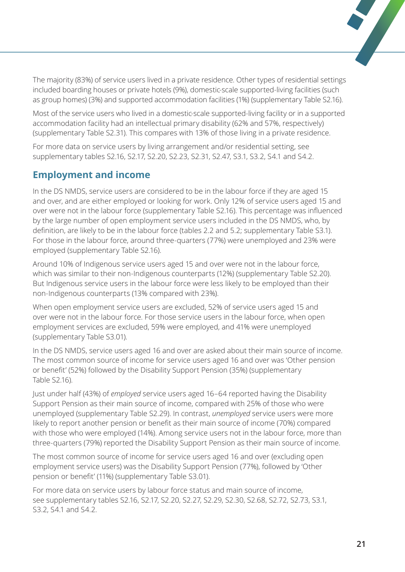The majority (83%) of service users lived in a private residence. Other types of residential settings included boarding houses or private hotels (9%), domestic-scale supported-living facilities (such as group homes) (3%) and supported accommodation facilities (1%) (supplementary Table S2.16).

Most of the service users who lived in a domestic-scale supported-living facility or in a supported accommodation facility had an intellectual primary disability (62% and 57%, respectively) (supplementary Table S2.31). This compares with 13% of those living in a private residence.

For more data on service users by living arrangement and/or residential setting, see supplementary tables S2.16, S2.17, S2.20, S2.23, S2.31, S2.47, S3.1, S3.2, S4.1 and S4.2.

# **Employment and income**

In the DS NMDS, service users are considered to be in the labour force if they are aged 15 and over, and are either employed or looking for work. Only 12% of service users aged 15 and over were not in the labour force (supplementary Table S2.16). This percentage was influenced by the large number of open employment service users included in the DS NMDS, who, by definition, are likely to be in the labour force (tables 2.2 and 5.2; supplementary Table S3.1). For those in the labour force, around three-quarters (77%) were unemployed and 23% were employed (supplementary Table S2.16).

Around 10% of Indigenous service users aged 15 and over were not in the labour force, which was similar to their non-Indigenous counterparts (12%) (supplementary Table S2.20). But Indigenous service users in the labour force were less likely to be employed than their non-Indigenous counterparts (13% compared with 23%).

When open employment service users are excluded, 52% of service users aged 15 and over were not in the labour force. For those service users in the labour force, when open employment services are excluded, 59% were employed, and 41% were unemployed (supplementary Table S3.01).

In the DS NMDS, service users aged 16 and over are asked about their main source of income. The most common source of income for service users aged 16 and over was 'Other pension or benefit' (52%) followed by the Disability Support Pension (35%) (supplementary Table S2.16).

Just under half (43%) of *employed* service users aged 16–64 reported having the Disability Support Pension as their main source of income, compared with 25% of those who were unemployed (supplementary Table S2.29). In contrast, *unemployed* service users were more likely to report another pension or benefit as their main source of income (70%) compared with those who were employed (14%). Among service users not in the labour force, more than three-quarters (79%) reported the Disability Support Pension as their main source of income.

The most common source of income for service users aged 16 and over (excluding open employment service users) was the Disability Support Pension (77%), followed by 'Other pension or benefit' (11%) (supplementary Table S3.01).

For more data on service users by labour force status and main source of income, see supplementary tables S2.16, S2.17, S2.20, S2.27, S2.29, S2.30, S2.68, S2.72, S2.73, S3.1, S3.2, S4.1 and S4.2.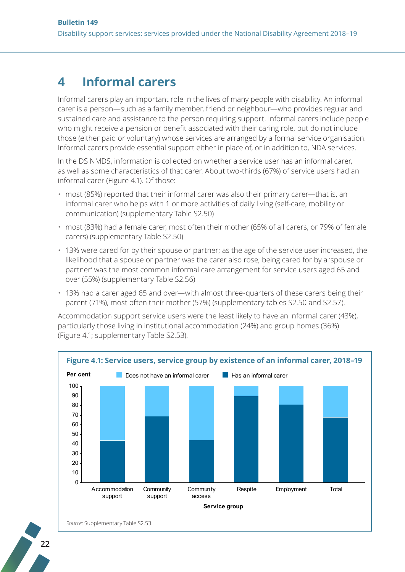# <span id="page-21-0"></span>**4 Informal carers**

Informal carers play an important role in the lives of many people with disability. An informal carer is a person—such as a family member, friend or neighbour—who provides regular and sustained care and assistance to the person requiring support. Informal carers include people who might receive a pension or benefit associated with their caring role, but do not include those (either paid or voluntary) whose services are arranged by a formal service organisation. Informal carers provide essential support either in place of, or in addition to, NDA services.

In the DS NMDS, information is collected on whether a service user has an informal carer, as well as some characteristics of that carer. About two-thirds (67%) of service users had an informal carer (Figure 4.1). Of those:

- most (85%) reported that their informal carer was also their primary carer—that is, an informal carer who helps with 1 or more activities of daily living (self-care, mobility or communication) (supplementary Table S2.50)
- most (83%) had a female carer, most often their mother (65% of all carers, or 79% of female carers) (supplementary Table S2.50)
- 13% were cared for by their spouse or partner; as the age of the service user increased, the likelihood that a spouse or partner was the carer also rose; being cared for by a 'spouse or partner' was the most common informal care arrangement for service users aged 65 and over (55%) (supplementary Table S2.56)
- 13% had a carer aged 65 and over—with almost three-quarters of these carers being their parent (71%), most often their mother (57%) (supplementary tables S2.50 and S2.57).

Accommodation support service users were the least likely to have an informal carer (43%), particularly those living in institutional accommodation (24%) and group homes (36%) (Figure 4.1; supplementary Table S2.53).





**22**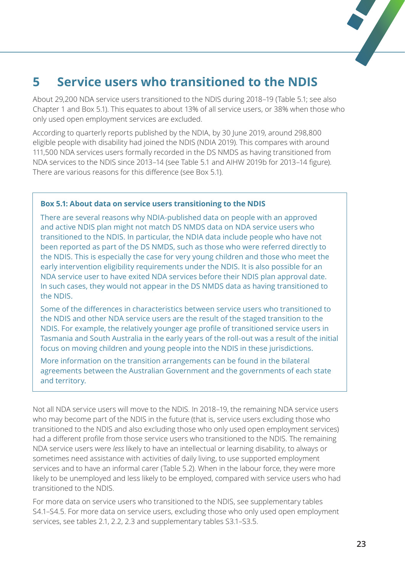# <span id="page-22-0"></span>**5 Service users who transitioned to the NDIS**

About 29,200 NDA service users transitioned to the NDIS during 2018–19 (Table 5.1; see also Chapter 1 and Box 5.1). This equates to about 13% of all service users, or 38% when those who only used open employment services are excluded.

According to quarterly reports published by the NDIA, by 30 June 2019, around 298,800 eligible people with disability had joined the NDIS (NDIA 2019). This compares with around 111,500 NDA services users formally recorded in the DS NMDS as having transitioned from NDA services to the NDIS since 2013–14 (see Table 5.1 and AIHW 2019b for 2013–14 figure). There are various reasons for this difference (see Box 5.1).

#### **Box 5.1: About data on service users transitioning to the NDIS**

There are several reasons why NDIA-published data on people with an approved and active NDIS plan might not match DS NMDS data on NDA service users who transitioned to the NDIS. In particular, the NDIA data include people who have not been reported as part of the DS NMDS, such as those who were referred directly to the NDIS. This is especially the case for very young children and those who meet the early intervention eligibility requirements under the NDIS. It is also possible for an NDA service user to have exited NDA services before their NDIS plan approval date. In such cases, they would not appear in the DS NMDS data as having transitioned to the NDIS.

Some of the differences in characteristics between service users who transitioned to the NDIS and other NDA service users are the result of the staged transition to the NDIS. For example, the relatively younger age profile of transitioned service users in Tasmania and South Australia in the early years of the roll-out was a result of the initial focus on moving children and young people into the NDIS in these jurisdictions.

More information on the transition arrangements can be found in the bilateral agreements between the Australian Government and the governments of each state and territory.

Not all NDA service users will move to the NDIS. In 2018–19, the remaining NDA service users who may become part of the NDIS in the future (that is, service users excluding those who transitioned to the NDIS and also excluding those who only used open employment services) had a different profile from those service users who transitioned to the NDIS. The remaining NDA service users were *less* likely to have an intellectual or learning disability, to always or sometimes need assistance with activities of daily living, to use supported employment services and to have an informal carer (Table 5.2). When in the labour force, they were more likely to be unemployed and less likely to be employed, compared with service users who had transitioned to the NDIS.

For more data on service users who transitioned to the NDIS, see supplementary tables S4.1–S4.5. For more data on service users, excluding those who only used open employment services, see tables 2.1, 2.2, 2.3 and supplementary tables S3.1–S3.5.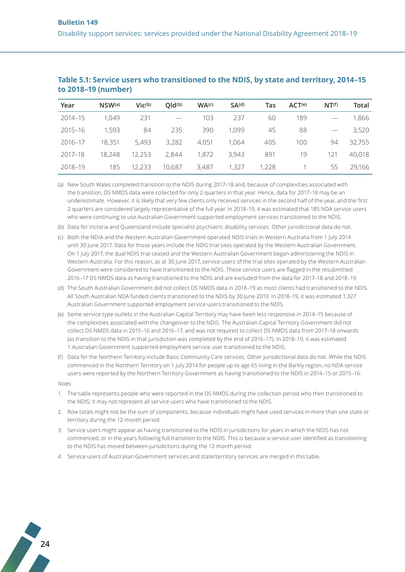| Year        | NSW <sub>(a)</sub> | $Vic^{(b)}$ | QId <sub>(b)</sub> | WA <sub>(c)</sub> | SA <sup>(d)</sup> | Tas   | ACT(e) | NT <sup>(f)</sup> | Total  |
|-------------|--------------------|-------------|--------------------|-------------------|-------------------|-------|--------|-------------------|--------|
| $2014 - 15$ | 1.049              | 231         |                    | 103               | 237               | 60    | 189    |                   | 1,866  |
| $2015 - 16$ | 1,593              | 84          | 235                | 390               | 1.099             | 45    | 88     |                   | 3,520  |
| 2016-17     | 18,351             | 5,493       | 3,282              | 4,051             | 1.064             | 405   | 100    | 94                | 32,755 |
| 2017-18     | 18,248             | 12,253      | 2,844              | 1,872             | 3,943             | 891   | 19     | 121               | 40,018 |
| 2018-19     | 185                | 12,233      | 10,687             | 3,487             | 1,327             | 1,228 |        | 55                | 29,166 |

#### **Table 5.1: Service users who transitioned to the NDIS, by state and territory, 2014–15 to 2018–19 (number)**

(a) New South Wales completed transition to the NDIS during 2017–18 and, because of complexities associated with the transition, DS NMDS data were collected for only 2 quarters in that year. Hence, data for 2017–18 may be an underestimate. However, it is likely that very few clients only received services in the second half of the year, and the first 2 quarters are considered largely representative of the full year. In 2018–19, it was estimated that 185 NDA service users who were continuing to use Australian Government supported employment services transitioned to the NDIS.

(b) Data for Victoria and Queensland include specialist psychiatric disability services. Other jurisdictional data do not.

- (c) Both the NDIA and the Western Australian Government operated NDIS trials in Western Australia from 1 July 2014 until 30 June 2017. Data for those years include the NDIS trial sites operated by the Western Australian Government. On 1 July 2017, the dual NDIS trial ceased and the Western Australian Government began administering the NDIS in Western Australia. For this reason, as at 30 June 2017, service users of the trial sites operated by the Western Australian Government were considered to have transitioned to the NDIS. These service users are flagged in the resubmitted 2016–17 DS NMDS data as having transitioned to the NDIS and are excluded from the data for 2017–18 and 2018–19.
- (d) The South Australian Government did not collect DS NMDS data in 2018–19 as most clients had transitioned to the NDIS. All South Australian NDA funded clients transitioned to the NDIS by 30 June 2019. In 2018–19, it was estimated 1,327 Australian Government supported employment service users transitioned to the NDIS.
- (e) Some service type outlets in the Australian Capital Territory may have been less responsive in 2014–15 because of the complexities associated with the changeover to the NDIS. The Australian Capital Territory Government did not collect DS NMDS data in 2015–16 and 2016–17, and was not required to collect DS NMDS data from 2017–18 onwards (as transition to the NDIS in that jurisdiction was completed by the end of 2016–17). In 2018–19, it was estimated 1 Australian Government supported employment service user transitioned to the NDIS.
- (f) Data for the Northern Territory include Basic Community Care services. Other jurisdictional data do not. While the NDIS commenced in the Northern Territory on 1 July 2014 for people up to age 65 living in the Barkly region, no NDA service users were reported by the Northern Territory Government as having transitioned to the NDIS in 2014–15 or 2015–16.

*Notes*

- 1. The table represents people who were reported in the DS NMDS during the collection period who then transitioned to the NDIS; it may not represent all service users who have transitioned to the NDIS.
- 2. Row totals might not be the sum of components, because individuals might have used services in more than one state or territory during the 12-month period.
- 3. Service users might appear as having transitioned to the NDIS in jurisdictions for years in which the NDIS has not commenced, or in the years following full transition to the NDIS. This is because a service user identified as transitioning to the NDIS has moved between jurisdictions during the 12-month period.
- 4. Service users of Australian Government services and state/territory services are merged in this table.

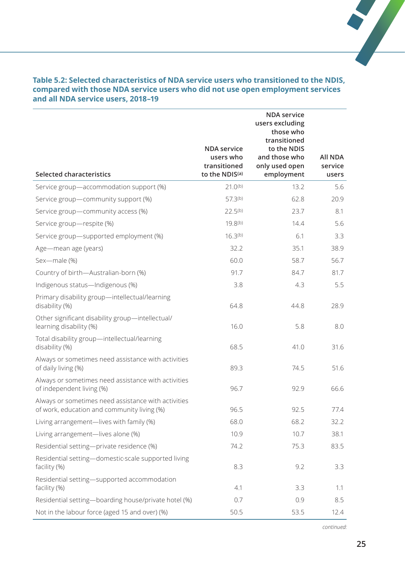| <b>Selected characteristics</b>                                                                    | <b>NDA</b> service<br>users who<br>transitioned<br>to the NDIS(a) | <b>NDA</b> service<br>users excluding<br>those who<br>transitioned<br>to the NDIS<br>and those who<br>only used open<br>employment | <b>All NDA</b><br>service<br>users |
|----------------------------------------------------------------------------------------------------|-------------------------------------------------------------------|------------------------------------------------------------------------------------------------------------------------------------|------------------------------------|
| Service group-accommodation support (%)                                                            | $21.0^{(b)}$                                                      | 13.2                                                                                                                               | 5.6                                |
| Service group-community support (%)                                                                | 57.3 <sup>(b)</sup>                                               | 62.8                                                                                                                               | 20.9                               |
| Service group-community access (%)                                                                 | $22.5^{(b)}$                                                      | 23.7                                                                                                                               | 8.1                                |
| Service group-respite (%)                                                                          | 19.8 <sup>(b)</sup>                                               | 14.4                                                                                                                               | 5.6                                |
| Service group-supported employment (%)                                                             | 16.3 <sup>(b)</sup>                                               | 6.1                                                                                                                                | 3.3                                |
| Age-mean age (years)                                                                               | 32.2                                                              | 35.1                                                                                                                               | 38.9                               |
| Sex-male (%)                                                                                       | 60.0                                                              | 58.7                                                                                                                               | 56.7                               |
| Country of birth-Australian-born (%)                                                               | 91.7                                                              | 84.7                                                                                                                               | 81.7                               |
| Indigenous status-Indigenous (%)                                                                   | 3.8                                                               | 4.3                                                                                                                                | 5.5                                |
| Primary disability group-intellectual/learning<br>disability (%)                                   | 64.8                                                              | 44.8                                                                                                                               | 28.9                               |
| Other significant disability group-intellectual/<br>learning disability (%)                        | 16.0                                                              | 5.8                                                                                                                                | 8.0                                |
| Total disability group-intellectual/learning<br>disability (%)                                     | 68.5                                                              | 41.0                                                                                                                               | 31.6                               |
| Always or sometimes need assistance with activities<br>of daily living (%)                         | 89.3                                                              | 74.5                                                                                                                               | 51.6                               |
| Always or sometimes need assistance with activities<br>of independent living (%)                   | 96.7                                                              | 92.9                                                                                                                               | 66.6                               |
| Always or sometimes need assistance with activities<br>of work, education and community living (%) | 96.5                                                              | 92.5                                                                                                                               | 77.4                               |
| Living arrangement-lives with family (%)                                                           | 68.0                                                              | 68.2                                                                                                                               | 32.2                               |
| Living arrangement-lives alone (%)                                                                 | 10.9                                                              | 10.7                                                                                                                               | 38.1                               |
| Residential setting-private residence (%)                                                          | 74.2                                                              | 75.3                                                                                                                               | 83.5                               |
| Residential setting-domestic-scale supported living<br>facility (%)                                | 8.3                                                               | 9.2                                                                                                                                | 3.3                                |
| Residential setting-supported accommodation<br>facility (%)                                        | 4.1                                                               | 3.3                                                                                                                                | 1.1                                |
| Residential setting-boarding house/private hotel (%)                                               | 0.7                                                               | 0.9                                                                                                                                | 8.5                                |
| Not in the labour force (aged 15 and over) (%)                                                     | 50.5                                                              | 53.5                                                                                                                               | 12.4                               |

#### **Table 5.2: Selected characteristics of NDA service users who transitioned to the NDIS, compared with those NDA service users who did not use open employment services and all NDA service users, 2018–19**

*continued:*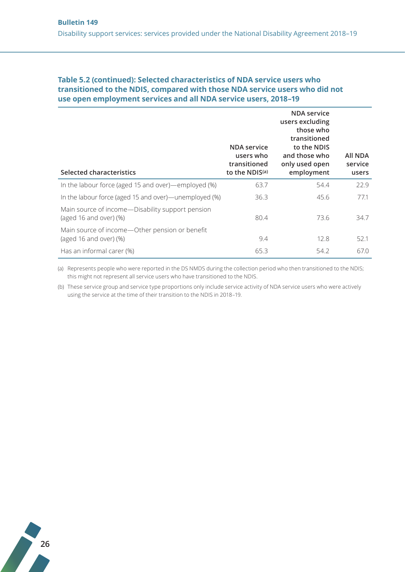#### **Table 5.2 (continued): Selected characteristics of NDA service users who transitioned to the NDIS, compared with those NDA service users who did not use open employment services and all NDA service users, 2018–19**

| Selected characteristics                                                     | <b>NDA</b> service<br>users who<br>transitioned<br>to the NDIS(a) | <b>NDA</b> service<br>users excluding<br>those who<br>transitioned<br>to the NDIS<br>and those who<br>only used open<br>employment | All NDA<br>service<br>users |
|------------------------------------------------------------------------------|-------------------------------------------------------------------|------------------------------------------------------------------------------------------------------------------------------------|-----------------------------|
| In the labour force (aged 15 and over)—employed (%)                          | 63.7                                                              | 54.4                                                                                                                               | 22.9                        |
| In the labour force (aged 15 and over)—unemployed (%)                        | 36.3                                                              | 45.6                                                                                                                               | 77.1                        |
| Main source of income—Disability support pension<br>(aged 16 and over) $(%)$ | 80.4                                                              | 73.6                                                                                                                               | 34.7                        |
| Main source of income-Other pension or benefit<br>(aged 16 and over) $(\%)$  | 9.4                                                               | 12.8                                                                                                                               | 52.1                        |
| Has an informal carer (%)                                                    | 65.3                                                              | 54.2                                                                                                                               | 67.0                        |

(a) Represents people who were reported in the DS NMDS during the collection period who then transitioned to the NDIS; this might not represent all service users who have transitioned to the NDIS.

(b) These service group and service type proportions only include service activity of NDA service users who were actively using the service at the time of their transition to the NDIS in 2018–19.

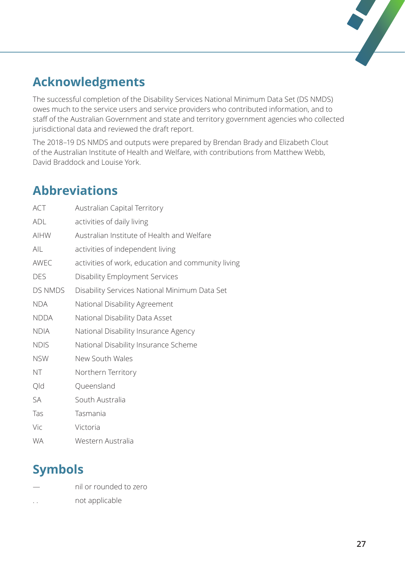# $\overline{\phantom{a}}$

# <span id="page-26-0"></span>**Acknowledgments**

The successful completion of the Disability Services National Minimum Data Set (DS NMDS) owes much to the service users and service providers who contributed information, and to staff of the Australian Government and state and territory government agencies who collected jurisdictional data and reviewed the draft report.

The 2018–19 DS NMDS and outputs were prepared by Brendan Brady and Elizabeth Clout of the Australian Institute of Health and Welfare, with contributions from Matthew Webb, David Braddock and Louise York.

# **Abbreviations**

| ACT         | <b>Australian Capital Territory</b>                |
|-------------|----------------------------------------------------|
| ADL         | activities of daily living                         |
| <b>AIHW</b> | Australian Institute of Health and Welfare         |
| AIL         | activities of independent living                   |
| AWEC        | activities of work, education and community living |
| <b>DES</b>  | <b>Disability Employment Services</b>              |
| DS NMDS     | Disability Services National Minimum Data Set      |
| <b>NDA</b>  | National Disability Agreement                      |
| <b>NDDA</b> | National Disability Data Asset                     |
| <b>NDIA</b> | National Disability Insurance Agency               |
| <b>NDIS</b> | National Disability Insurance Scheme               |
| <b>NSW</b>  | New South Wales                                    |
| NT          | Northern Territory                                 |
| Qld         | Queensland                                         |
| SA          | South Australia                                    |
| Tas         | Tasmania                                           |
| Vic         | Victoria                                           |
| <b>WA</b>   | Western Australia                                  |

# **Symbols**

- nil or rounded to zero
- .. not applicable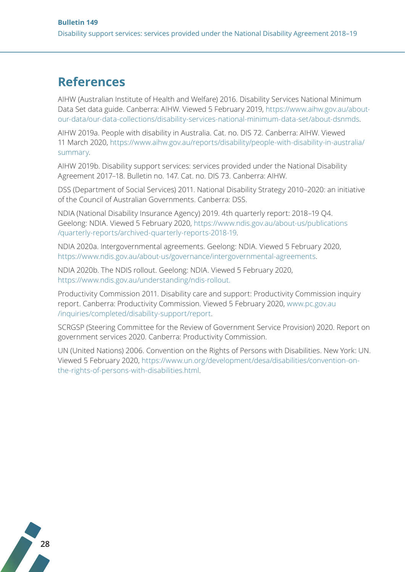# <span id="page-27-0"></span>**References**

AIHW (Australian Institute of Health and Welfare) 2016. Disability Services National Minimum Data Set data guide. Canberra: AIHW. Viewed 5 February 2019, [https://www.aihw.gov.au/about](https://www.aihw.gov.au/about-our-data/our-data-collections/disability-services-national-minimum-data-set/about-dsnmds)[our-data/our-data-collections/disability-services-national-minimum-data-set/about-dsnmds](https://www.aihw.gov.au/about-our-data/our-data-collections/disability-services-national-minimum-data-set/about-dsnmds).

AIHW 2019a. People with disability in Australia. Cat. no. DIS 72. Canberra: AIHW. Viewed 11 March 2020, [https://www.aihw.gov.au/reports/disability/people-with-disability-in-australia/](https://www.aihw.gov.au/reports/disability/people-with-disability-in-australia/summary) [summary](https://www.aihw.gov.au/reports/disability/people-with-disability-in-australia/summary).

AIHW 2019b. Disability support services: services provided under the National Disability Agreement 2017–18. Bulletin no. 147. Cat. no. DIS 73. Canberra: AIHW.

DSS (Department of Social Services) 2011. National Disability Strategy 2010–2020: an initiative of the Council of Australian Governments. Canberra: DSS.

NDIA (National Disability Insurance Agency) 2019. 4th quarterly report: 2018–19 Q4. Geelong: NDIA. Viewed 5 February 2020, [https://www.ndis.gov.au/about-us/publications](https://www.ndis.gov.au/about-us/publications/quarterly-reports/archived-quarterly-reports-2018-19) [/quarterly-reports/archived-quarterly-reports-2018-19.](https://www.ndis.gov.au/about-us/publications/quarterly-reports/archived-quarterly-reports-2018-19)

NDIA 2020a. Intergovernmental agreements. Geelong: NDIA. Viewed 5 February 2020, <https://www.ndis.gov.au/about-us/governance/intergovernmental-agreements>.

NDIA 2020b. The NDIS rollout. Geelong: NDIA. Viewed 5 February 2020, <https://www.ndis.gov.au/understanding/ndis-rollout>.

Productivity Commission 2011. Disability care and support: Productivity Commission inquiry report. Canberra: Productivity Commission. Viewed 5 February 2020, [www.pc.gov.au](http://www.pc.gov.au/inquiries/completed/disability-support/report) [/inquiries/completed/disability-support/report](http://www.pc.gov.au/inquiries/completed/disability-support/report).

SCRGSP (Steering Committee for the Review of Government Service Provision) 2020. Report on government services 2020. Canberra: Productivity Commission.

UN (United Nations) 2006. Convention on the Rights of Persons with Disabilities. New York: UN. Viewed 5 February 2020, [https://www.un.org/development/desa/disabilities/convention-on](https://www.un.org/development/desa/disabilities/convention-on-the-rights-of-persons-with-disabilities.html)[the-rights-of-persons-with-disabilities.html.](https://www.un.org/development/desa/disabilities/convention-on-the-rights-of-persons-with-disabilities.html)

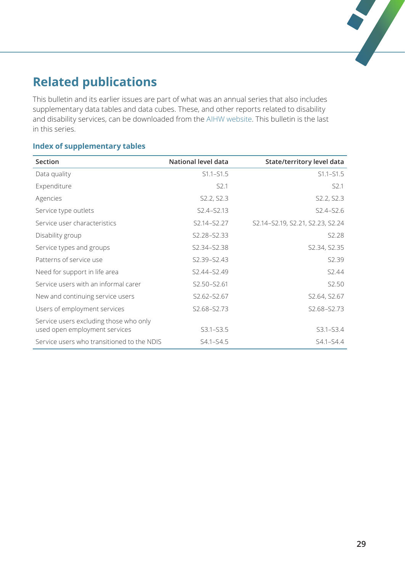# <span id="page-28-0"></span>**Related publications**

This bulletin and its earlier issues are part of what was an annual series that also includes supplementary data tables and data cubes. These, and other reports related to disability and disability services, can be downloaded from the [AIHW website](http://www.aihw.gov.au). This bulletin is the last in this series.

#### **Index of supplementary tables**

| Section                                    | National level data                 | State/territory level data       |
|--------------------------------------------|-------------------------------------|----------------------------------|
| Data quality                               | $S1.1 - S1.5$                       | $S1.1 - S1.5$                    |
| Expenditure                                | S <sub>2.1</sub>                    | S2.1                             |
| Agencies                                   | S2.2, S2.3                          | S2.2, S2.3                       |
| Service type outlets                       | S <sub>2</sub> .4-S <sub>2.13</sub> | $S2.4 - S2.6$                    |
| Service user characteristics               | S2.14-S2.27                         | S2.14-S2.19, S2.21, S2.23, S2.24 |
| Disability group                           | S2.28-S2.33                         | S2.28                            |
| Service types and groups                   | S2.34-S2.38                         | S2.34, S2.35                     |
| Patterns of service use                    | S2.39-S2.43                         | S2.39                            |
| Need for support in life area              | S2.44-S2.49                         | S2.44                            |
| Service users with an informal carer       | S2.50-S2.61                         | S2.50                            |
| New and continuing service users           | S2.62-S2.67                         | S2.64, S2.67                     |
| Users of employment services               | S2.68-S2.73                         | S2.68-S2.73                      |
| Service users excluding those who only     |                                     |                                  |
| used open employment services              | $S3.1 - S3.5$                       | $S3.1 - S3.4$                    |
| Service users who transitioned to the NDIS | $S4.1 - S4.5$                       | $S4.1 - S4.4$                    |